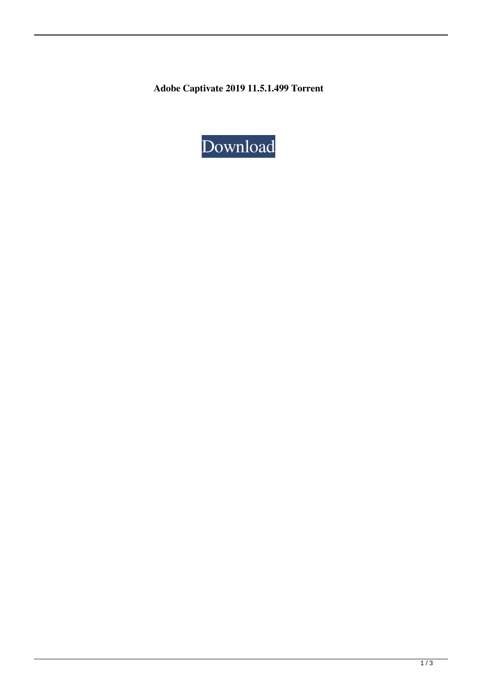**Adobe Captivate 2019 11.5.1.499 Torrent**

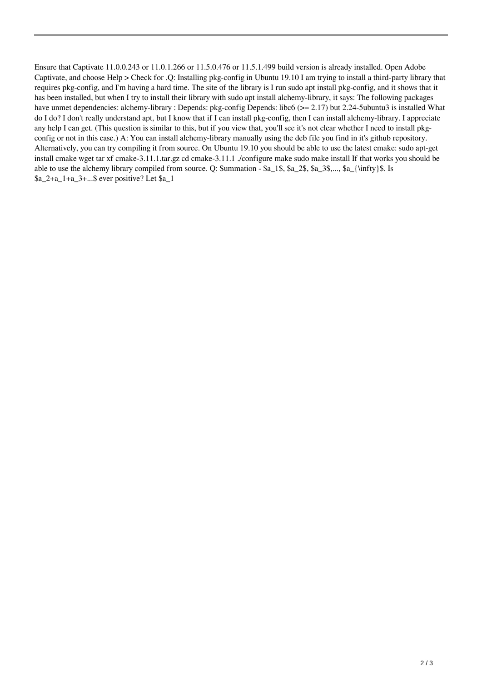Ensure that Captivate 11.0.0.243 or 11.0.1.266 or 11.5.0.476 or 11.5.1.499 build version is already installed. Open Adobe Captivate, and choose Help > Check for .Q: Installing pkg-config in Ubuntu 19.10 I am trying to install a third-party library that requires pkg-config, and I'm having a hard time. The site of the library is I run sudo apt install pkg-config, and it shows that it has been installed, but when I try to install their library with sudo apt install alchemy-library, it says: The following packages have unmet dependencies: alchemy-library : Depends: pkg-config Depends: libc6 (>= 2.17) but 2.24-5ubuntu3 is installed What do I do? I don't really understand apt, but I know that if I can install pkg-config, then I can install alchemy-library. I appreciate any help I can get. (This question is similar to this, but if you view that, you'll see it's not clear whether I need to install pkgconfig or not in this case.) A: You can install alchemy-library manually using the deb file you find in it's github repository. Alternatively, you can try compiling it from source. On Ubuntu 19.10 you should be able to use the latest cmake: sudo apt-get install cmake wget tar xf cmake-3.11.1.tar.gz cd cmake-3.11.1 ./configure make sudo make install If that works you should be able to use the alchemy library compiled from source. Q: Summation - \$a\_1\$, \$a\_2\$, \$a\_3\$,..., \$a\_{\infty}\$. Is \$a\_2+a\_1+a\_3+...\$ ever positive? Let \$a\_1